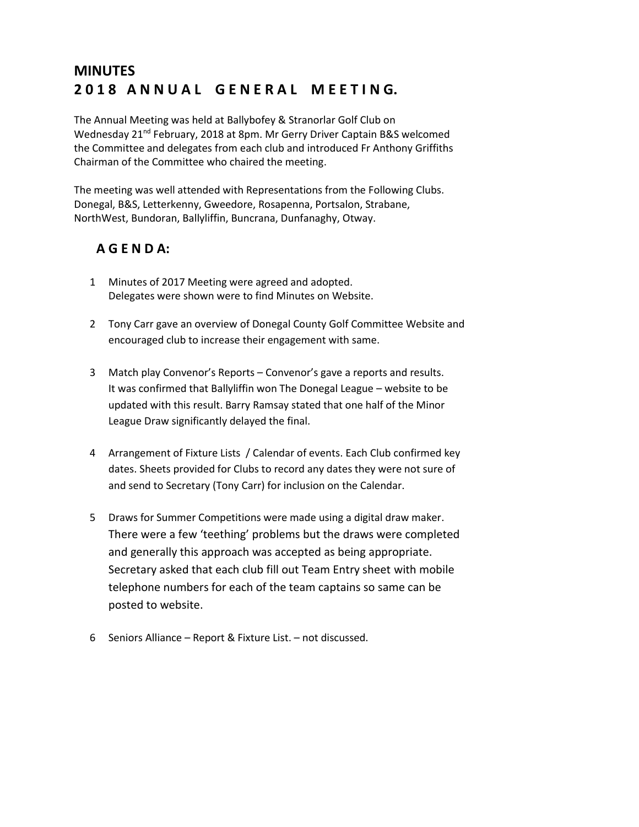# **MINUTES 2 0 1 8 A N N U A L G E N E R A L M E E T I N G.**

The Annual Meeting was held at Ballybofey & Stranorlar Golf Club on Wednesday 21<sup>nd</sup> February, 2018 at 8pm. Mr Gerry Driver Captain B&S welcomed the Committee and delegates from each club and introduced Fr Anthony Griffiths Chairman of the Committee who chaired the meeting.

The meeting was well attended with Representations from the Following Clubs. Donegal, B&S, Letterkenny, Gweedore, Rosapenna, Portsalon, Strabane, NorthWest, Bundoran, Ballyliffin, Buncrana, Dunfanaghy, Otway.

# **A G E N D A:**

- 1 Minutes of 2017 Meeting were agreed and adopted. Delegates were shown were to find Minutes on Website.
- 2 Tony Carr gave an overview of Donegal County Golf Committee Website and encouraged club to increase their engagement with same.
- 3 Match play Convenor's Reports Convenor's gave a reports and results. It was confirmed that Ballyliffin won The Donegal League – website to be updated with this result. Barry Ramsay stated that one half of the Minor League Draw significantly delayed the final.
- 4 Arrangement of Fixture Lists / Calendar of events. Each Club confirmed key dates. Sheets provided for Clubs to record any dates they were not sure of and send to Secretary (Tony Carr) for inclusion on the Calendar.
- 5 Draws for Summer Competitions were made using a digital draw maker. There were a few 'teething' problems but the draws were completed and generally this approach was accepted as being appropriate. Secretary asked that each club fill out Team Entry sheet with mobile telephone numbers for each of the team captains so same can be posted to website.
- 6 Seniors Alliance Report & Fixture List. not discussed.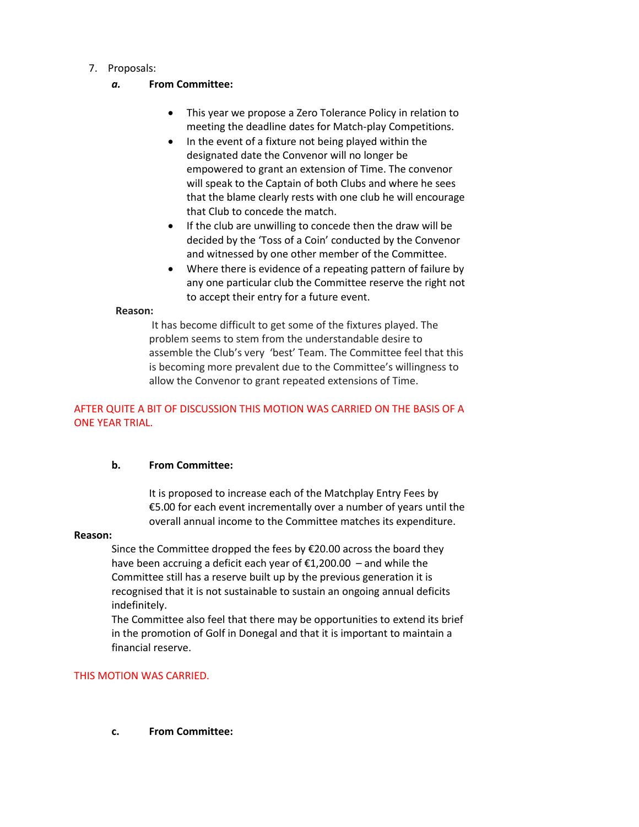# 7. Proposals:

# *a.* **From Committee:**

- This year we propose a Zero Tolerance Policy in relation to meeting the deadline dates for Match-play Competitions.
- In the event of a fixture not being played within the designated date the Convenor will no longer be empowered to grant an extension of Time. The convenor will speak to the Captain of both Clubs and where he sees that the blame clearly rests with one club he will encourage that Club to concede the match.
- If the club are unwilling to concede then the draw will be decided by the 'Toss of a Coin' conducted by the Convenor and witnessed by one other member of the Committee.
- Where there is evidence of a repeating pattern of failure by any one particular club the Committee reserve the right not to accept their entry for a future event.

#### **Reason:**

It has become difficult to get some of the fixtures played. The problem seems to stem from the understandable desire to assemble the Club's very 'best' Team. The Committee feel that this is becoming more prevalent due to the Committee's willingness to allow the Convenor to grant repeated extensions of Time.

# AFTER QUITE A BIT OF DISCUSSION THIS MOTION WAS CARRIED ON THE BASIS OF A ONE YEAR TRIAL.

# **b. From Committee:**

It is proposed to increase each of the Matchplay Entry Fees by €5.00 for each event incrementally over a number of years until the overall annual income to the Committee matches its expenditure.

#### **Reason:**

Since the Committee dropped the fees by €20.00 across the board they have been accruing a deficit each year of €1,200.00 – and while the Committee still has a reserve built up by the previous generation it is recognised that it is not sustainable to sustain an ongoing annual deficits indefinitely.

The Committee also feel that there may be opportunities to extend its brief in the promotion of Golf in Donegal and that it is important to maintain a financial reserve.

#### THIS MOTION WAS CARRIED.

**c. From Committee:**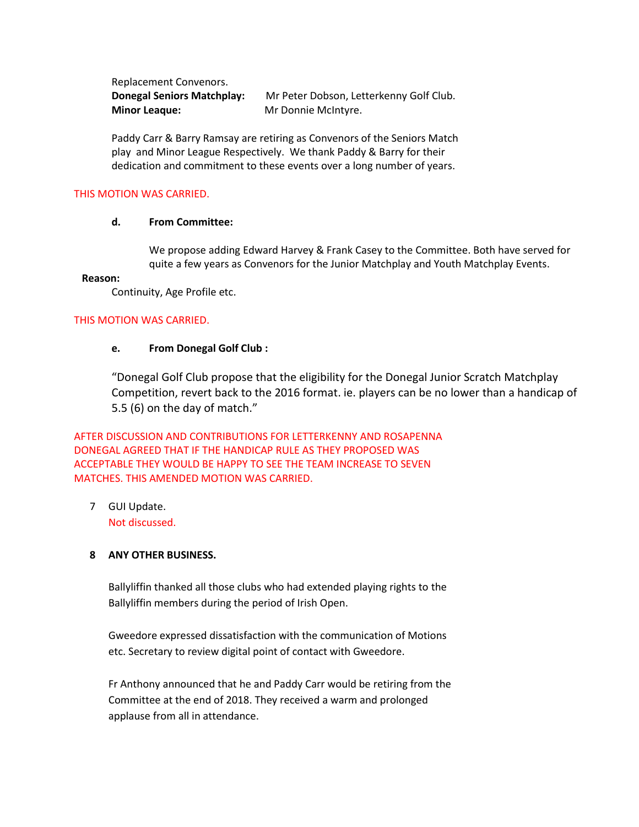Replacement Convenors.

**Donegal Seniors Matchplay:** Mr Peter Dobson, Letterkenny Golf Club. **Minor League:** Mr Donnie McIntyre.

Paddy Carr & Barry Ramsay are retiring as Convenors of the Seniors Match play and Minor League Respectively. We thank Paddy & Barry for their dedication and commitment to these events over a long number of years.

# THIS MOTION WAS CARRIED.

### **d. From Committee:**

We propose adding Edward Harvey & Frank Casey to the Committee. Both have served for quite a few years as Convenors for the Junior Matchplay and Youth Matchplay Events.

#### **Reason:**

Continuity, Age Profile etc.

# THIS MOTION WAS CARRIED.

# **e. From Donegal Golf Club :**

"Donegal Golf Club propose that the eligibility for the Donegal Junior Scratch Matchplay Competition, revert back to the 2016 format. ie. players can be no lower than a handicap of 5.5 (6) on the day of match."

AFTER DISCUSSION AND CONTRIBUTIONS FOR LETTERKENNY AND ROSAPENNA DONEGAL AGREED THAT IF THE HANDICAP RULE AS THEY PROPOSED WAS ACCEPTABLE THEY WOULD BE HAPPY TO SEE THE TEAM INCREASE TO SEVEN MATCHES. THIS AMENDED MOTION WAS CARRIED.

7 GUI Update. Not discussed.

# **8 ANY OTHER BUSINESS.**

Ballyliffin thanked all those clubs who had extended playing rights to the Ballyliffin members during the period of Irish Open.

Gweedore expressed dissatisfaction with the communication of Motions etc. Secretary to review digital point of contact with Gweedore.

Fr Anthony announced that he and Paddy Carr would be retiring from the Committee at the end of 2018. They received a warm and prolonged applause from all in attendance.